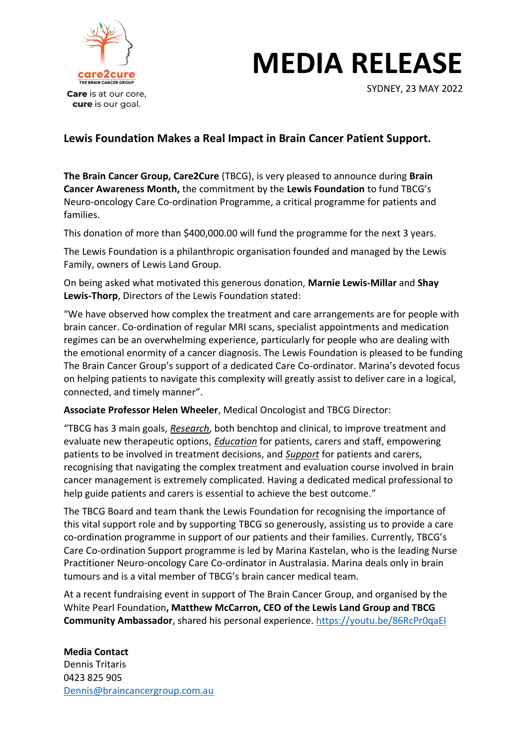

# **MEDIA RELEASE**

SYDNEY, 23 MAY 2022

## **Lewis Foundation Makes a Real Impact in Brain Cancer Patient Support.**

**The Brain Cancer Group, Care2Cure** (TBCG), is very pleased to announce during **Brain Cancer Awareness Month,** the commitment by the **Lewis Foundation** to fund TBCG's Neuro-oncology Care Co-ordination Programme, a critical programme for patients and families.

This donation of more than \$400,000.00 will fund the programme for the next 3 years.

The Lewis Foundation is a philanthropic organisation founded and managed by the Lewis Family, owners of Lewis Land Group.

On being asked what motivated this generous donation, **Marnie Lewis-Millar** and **Shay Lewis-Thorp**, Directors of the Lewis Foundation stated:

"We have observed how complex the treatment and care arrangements are for people with brain cancer. Co-ordination of regular MRI scans, specialist appointments and medication regimes can be an overwhelming experience, particularly for people who are dealing with the emotional enormity of a cancer diagnosis. The Lewis Foundation is pleased to be funding The Brain Cancer Group's support of a dedicated Care Co-ordinator. Marina's devoted focus on helping patients to navigate this complexity will greatly assist to deliver care in a logical, connected, and timely manner".

**Associate Professor Helen Wheeler**, Medical Oncologist and TBCG Director:

"TBCG has 3 main goals, *Research*, both benchtop and clinical, to improve treatment and evaluate new therapeutic options, *Education* for patients, carers and staff, empowering patients to be involved in treatment decisions, and *Support* for patients and carers, recognising that navigating the complex treatment and evaluation course involved in brain cancer management is extremely complicated. Having a dedicated medical professional to help guide patients and carers is essential to achieve the best outcome."

The TBCG Board and team thank the Lewis Foundation for recognising the importance of this vital support role and by supporting TBCG so generously, assisting us to provide a care co-ordination programme in support of our patients and their families. Currently, TBCG's Care Co-ordination Support programme is led by Marina Kastelan, who is the leading Nurse Practitioner Neuro-oncology Care Co-ordinator in Australasia. Marina deals only in brain tumours and is a vital member of TBCG's brain cancer medical team.

At a recent fundraising event in support of The Brain Cancer Group, and organised by the White Pearl Foundation**, Matthew McCarron, CEO of the Lewis Land Group and TBCG Community Ambassador**, shared his personal experience. <https://youtu.be/86RcPr0qaEI>

## **Media Contact**

Dennis Tritaris 0423 825 905 [Dennis@braincancergroup.com.au](mailto:Dennis@braincancergroup.com.au)